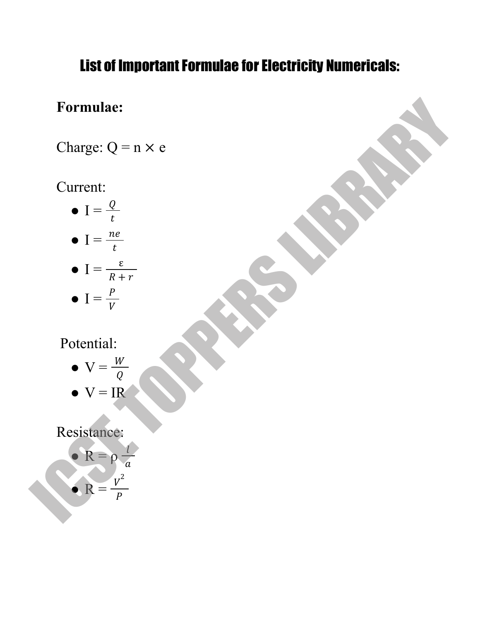## List of Important Formulae for Electricity Numericals:

## **Formulae:**

Charge:  $Q = n \times e$ 

## Current:

- $\bullet$  I =  $\frac{Q}{t}$  $\boldsymbol{t}$
- $\bullet$  I =  $\frac{ne}{t}$  $\boldsymbol{t}$  $\bullet$   $I = \frac{\varepsilon}{R}$

$$
\bullet \quad I = \frac{P}{R+r}
$$

$$
\bullet \quad I = \frac{P}{V}
$$

Potential:

- $\bullet \ \nabla = \frac{W}{Q}$ Q
- $\bullet \, \mathrm{V} = \mathrm{IR}$

## Resistance:

Formula:

\nChange: 
$$
Q = n \times e
$$

\nCurrent:

\n $I = \frac{Q}{t}$ 

\n $I = \frac{ne}{t}$ 

\n $I = \frac{e}{\sqrt{t}}$ 

\n $I = \frac{e}{\sqrt{t}}$ 

\nPotential:

\n $V = \frac{W}{Q}$ 

\nVectortail:

\n $V = \frac{W}{Q}$ 

\nResistance:

\nResistance:

\n $R = \frac{V^2}{p}$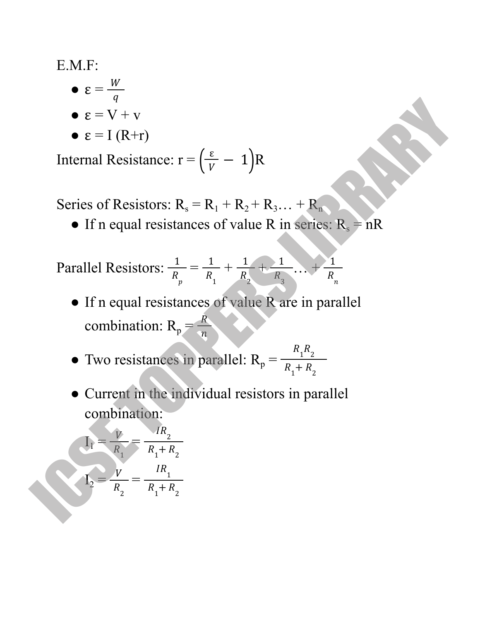E.M.F:

- $\bullet \ \varepsilon = \frac{W}{a}$  $\overline{q}$
- $\bullet \varepsilon = V + V$
- $\bullet \varepsilon = I (R+r)$

Internal Resistance:  $r = \left(\frac{\varepsilon}{V} - 1\right)R$ 

Series of Resistors:  $R_s = R_1 + R_2 + R_3... + R_n$ 

• If n equal resistances of value R in series:  $R_s = nR$ 

Parallel Resistors:  $\frac{1}{p} = \frac{1}{p} + \frac{1}{p} + \frac{1}{p} \ldots +$  $R_p$ 1  $R_{1}$ 1  $R_{2}$ 1  $R_{\overline{3}}$ 1  $R_{n}$ 

- If n equal resistances of value R are in parallel combination:  $R_p = \frac{R}{n}$  $\overline{n}$ •  $\epsilon = V + v$ <br>
•  $\epsilon = I (R+r)$ <br>
Internal Resistance:  $r = (\frac{\epsilon}{v} - 1)R$ <br>
Series of Resistors:  $R_s = R_1 + R_2 + R_3... + R_n$ <br>
• If n equal resistances of value R in series:  $R_s = nR$ <br>
Parallel Resistors:  $\frac{1}{R_g} = \frac{1}{R_1} + \frac{1}{R_2} + \frac{1}{R_$ 
	- Two resistances in parallel:  $R_p =$  $R_1R_2$  $R_1 + R_2$
	- Current in the individual resistors in parallel combination:

$$
I_1 = \frac{V}{R_1} = \frac{IR_2}{R_1 + R_2}
$$

$$
I_2 = \frac{V}{R_2} = \frac{IR_1}{R_1 + R_2}
$$